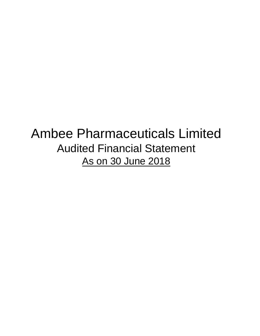# Ambee Pharmaceuticals Limited Audited Financial Statement As on 30 June 2018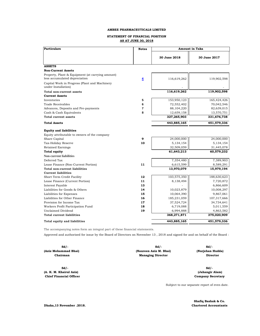# **STATEMENT OF FINANCIAL POSITION AS AT JUNE 30, 2018**

| <b>Particulars</b>                                                                | <b>Notes</b>            | <b>Amount in Taka</b> |              |
|-----------------------------------------------------------------------------------|-------------------------|-----------------------|--------------|
|                                                                                   |                         | 30 June 2018          | 30 June 2017 |
| <b>ASSETS</b>                                                                     |                         |                       |              |
| <b>Non-Current Assets</b>                                                         |                         |                       |              |
| Property, Plant & Equipment (at carrying amount)<br>less accumulated depreciation | $\overline{\mathbf{4}}$ | 116,619,262           | 119,902,598  |
| Capital Work in Progress (Plant and Machinery<br>under Installation)              |                         |                       |              |
| Total non-current assets                                                          |                         | 116,619,262           | 119,902,598  |
| <b>Current Assets</b>                                                             |                         |                       |              |
| Inventories                                                                       | 5                       | 153,950,123           | 165,424,426  |
| Trade Receivables                                                                 | 6                       | 72,552,402            | 70,042,546   |
| Advances, Deposits and Pre-payments                                               | 7                       | 88,104,220            | 82,639,015   |
| Cash & Cash Equivalents                                                           | 8                       | 12,659,158            | 13,570,751   |
| <b>Total current assets</b>                                                       |                         | 327,265,903           | 331,676,738  |
| <b>Total Assets</b>                                                               |                         | 443,885,165           | 451,579,336  |
| <b>Equity and liabilities</b>                                                     |                         |                       |              |
| Equity attributable to owners of the company                                      |                         |                       |              |
| Share Capital                                                                     | 9                       | 24,000,000            | 24,000,000   |
| Tax-Holiday Reserve                                                               | 10                      | 5,134,154             | 5,134,154    |
| <b>Retained Earnings</b>                                                          |                         | 32,509,059            | 31,445,078   |
| <b>Total equity</b>                                                               |                         | 61,643,213            | 60,579,232   |
| <b>Non-current liabilities</b>                                                    |                         |                       |              |
| Deferred Tax                                                                      |                         | 7,354,480             | 7,389,903    |
| Lease Finance (Non-Current Portion)                                               | 11                      | 6,615,599             | 8,589,291    |
| <b>Total non-current liabilities</b>                                              |                         | 13,970,079            | 15,979,194   |
| <b>Current liabilities</b>                                                        |                         |                       |              |
| Short Term Credit Facility                                                        | 12                      | 103,575,350           | 188,630,623  |
| Lease Finance (Current Portion)                                                   | 11                      | 8,138,494             | 7,720,872    |
| Interest Payable                                                                  | 13                      |                       | 6,866,609    |
| Liabilities for Goods & Others                                                    | 14                      | 10,023,879            | 10,008,297   |
| Liabilities for Expenses                                                          | 15                      | 10,064,390            | 9,867,061    |
| Liabilities for Other Finance                                                     | 16                      | 185,231,059           | 107,317,666  |
| Provision for Income Tax                                                          | 17                      | 37,524,724            | 34,734,641   |
| Workers Profit Participation Fund                                                 | 18                      | 6,719,088             | 5,011,559    |
| Unclaimed Dividend                                                                | 19                      | 6,994,888             | 4,863,582    |
| <b>Total current liabilities</b>                                                  |                         | 368,271,871           | 375,020,909  |
| Total equity and liabilities                                                      |                         | 443,885,165           | 451,579,336  |

The accompanying notes form an integral part of these financial statements.

Approved and authorised for issue by the Board of Directors on November 13 , 2018 and signed for and on behalf of the Board :

| $Sd/-$               | $Sd/-$                   | $Sd/-$           |
|----------------------|--------------------------|------------------|
| (Aziz Mohammad Bhai) | (Naureen Aziz M. Bhai)   | (Nurjehan Hudda) |
| Chairman             | <b>Managing Director</b> | <b>Director</b>  |
| $Sd/$ -              |                          | $Sd/-$           |
| (A K M Khairul Aziz) |                          | (Jahangir Alam)  |

**(A. K. M. Khairul Aziz) Chief Financial Officer**

 **(Jahangir Alam) Company Secretary**

Subject to our separate report of even date.

**Chartered Accountants Shafiq Bashak & Co.**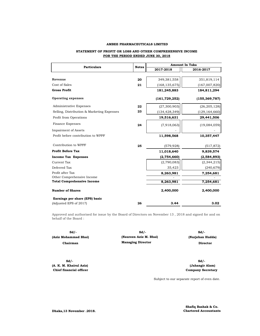# **STATEMENT OF PROFIT OR LOSS AND OTHER COMPREHENSIVE INCOME FOR THE PERIOD ENDED JUNE 30, 2018**

| <b>Particulars</b>                         | <b>Notes</b> | <b>Amount In Taka</b> |                 |  |
|--------------------------------------------|--------------|-----------------------|-----------------|--|
|                                            |              | 2017-2018             | 2016-2017       |  |
|                                            |              |                       |                 |  |
| Revenue                                    | 20           | 349,381,558           | 351,819,114     |  |
| Cost of Sales                              | 21           | (168, 135, 675)       | (167,007,820)   |  |
| <b>Gross Profit</b>                        |              | 181,245,883           | 184,811,294     |  |
| <b>Operating expenses</b>                  |              | (161, 729, 252)       | (155, 369, 787) |  |
| Administrative Expenses                    | 22           | (27, 300, 903)        | (26, 205, 128)  |  |
| Selling, Distribution & Marketing Expenses | 23           | (134, 428, 349)       | (129, 164, 660) |  |
| Profit from Operations                     |              | 19,516,631            | 29,441,506      |  |
| Finance Expenses                           | 24           | (7,918,063)           | (19,084,059)    |  |
| <b>Impairment of Assets</b>                |              |                       |                 |  |
| Profit before contribution to WPPF         |              | 11,598,568            | 10,357,447      |  |
| Contribution to WPPF                       | 25           | (579, 928)            | (517, 872)      |  |
| <b>Profit Before Tax</b>                   |              | 11,018,640            | 9,839,574       |  |
| <b>Income Tax Expenses</b>                 |              | (2,754,660)           | (2,584,893)     |  |
| Current Tax                                |              | (2,790,083)           | (2, 344, 215)   |  |
| Deferred Tax                               |              | 35,423                | (240, 679)      |  |
| Profit after Tax                           |              | 8,263,981             | 7,254,681       |  |
| Other Comprehensive Income                 |              |                       |                 |  |
| <b>Total Comprehensive Income</b>          |              | 8,263,981             | 7,254,681       |  |
| <b>Number of Shares</b>                    |              | 2,400,000             | 2,400,000       |  |
| Earnings per share (EPS) basic             |              |                       |                 |  |
| (Adjusted EPS of 2017)                     | 26           | 3.44                  | 3.02            |  |

Approved and authorised for issue by the Board of Directors on November 13 , 2018 and signed for and on behalf of the Board :

| Sd / -               | $Sd/-$                   | $Sd/$ -   |
|----------------------|--------------------------|-----------|
| (Aziz Mohammad Bhai) | (Naureen Aziz M. Bhai)   | (Nurjehan |
| Chairman             | <b>Managing Director</b> | Dire      |

**Sd/- Sd/- (A. K. M. Khairul Aziz) Chief financial officer Company Secretary**

 **(Nurjehan Hudda) Director**

 **(Jahangir Alam)**

Subject to our separate report of even date.

**Shafiq Bashak & Co. Chartered Accountants**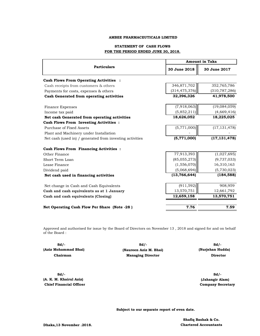# **STATEMENT OF CASH FLOWS FOR THE PERIOD ENDED JUNE 30, 2018.**

|                                                          | <b>Amount in Taka</b> |                 |  |  |
|----------------------------------------------------------|-----------------------|-----------------|--|--|
| <b>Particulars</b>                                       | 30 June 2018          | 30 June 2017    |  |  |
| <b>Cash Flows From Operating Activities :</b>            |                       |                 |  |  |
| Cash receipts from customers & others                    | 346,871,702           | 352,765,786     |  |  |
| Payments for costs, expenses & others                    | (314, 475, 376)       | (310, 787, 286) |  |  |
| Cash Generated from operating activities                 | 32,396,326            | 41,978,500      |  |  |
| Finance Expenses                                         | (7,918,063)           | (19,084,059)    |  |  |
| Income tax paid                                          | (5,852,211)           | (4,669,416)     |  |  |
| Net cash Generated from operating activities             | 18,626,052            | 18,225,025      |  |  |
| <b>Cash Flows From Investing Activities :</b>            |                       |                 |  |  |
| Purchase of Fixed Assets                                 | (5,771,000)           | (17, 131, 478)  |  |  |
| Plant and Machinery under Installation                   |                       |                 |  |  |
| Net cash (used in) / generated from investing activities | (5,771,000)           | (17, 131, 478)  |  |  |
| <b>Cash Flows From Financing Activities :</b>            |                       |                 |  |  |
| Other Finance                                            | 77,913,393            | (1,027,695)     |  |  |
| Short Term Loan                                          | (85,055,273)          | (9,737,033)     |  |  |
| Lease Finance                                            | (1, 556, 070)         | 16,310,163      |  |  |
| Dividend paid                                            | (5,068,694)           | (5,730,023)     |  |  |
| Net cash used in financing activities                    | (13, 766, 644)        | (184, 588)      |  |  |
| Net change in Cash and Cash Equivalents                  | (911, 592)            | 908,959         |  |  |
| Cash and cash equivalents as at 1 January                | 13,570,751            | 12,661,792      |  |  |
| Cash and cash equivalents (Closing)                      | 12,659,158            | 13,570,751      |  |  |
| Net Operating Cash Flow Per Share (Note -28)             | 7.76                  | 7.59            |  |  |

Approved and authorised for issue by the Board of Directors on November 13 , 2018 and signed for and on behalf of the Board :

| $Sd/$ -              | $Sd/-$                   | $Sd/-$           |
|----------------------|--------------------------|------------------|
| (Aziz Mohammad Bhai) | (Naureen Aziz M. Bhai)   | (Nurjehan Hudda) |
| Chairman             | <b>Managing Director</b> | Director         |

**Sd/- Sd/- (A. K. M. Khairul Aziz) (Jahangir Alam) Chief Financial Officer Company Secretary** 

**Subject to our separate report of even date.**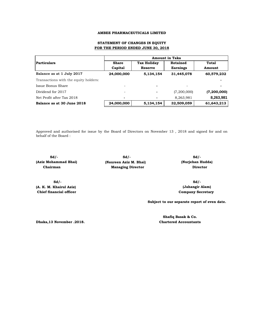# **STATEMENT OF CHANGES IN EQUITY FOR THE PERIOD ENDED JUNE 30, 2018**

|                                       | <b>Amount in Taka</b>    |                    |                 |             |  |
|---------------------------------------|--------------------------|--------------------|-----------------|-------------|--|
| <b>Particulars</b>                    | <b>Share</b>             | <b>Tax Holiday</b> | Retained        | Total       |  |
|                                       | Capital                  | <b>Reserve</b>     | <b>Earnings</b> | Amount      |  |
| Balance as at 1 July 2017             | 24,000,000               | 5,134,154          | 31,445,078      | 60,579,232  |  |
| Transactions with the equity holders: |                          |                    |                 |             |  |
| Issue Bonus Share                     |                          | -                  |                 |             |  |
| Dividend for 2017                     | $\overline{\phantom{a}}$ | ٠                  | (7,200,000)     | (7,200,000) |  |
| Net Profit after Tax 2018             | ٠                        | ٠                  | 8,263,981       | 8,263,981   |  |
| Balance as at 30 June 2018            | 24,000,000               | 5,134,154          | 32,509,059      | 61,643,213  |  |

Approved and authorised for issue by the Board of Directors on November 13 , 2018 and signed for and on behalf of the Board :

**(Aziz Mohammad Bhai) (Naureen Aziz M. Bhai)** 

**(A. K. M. Khairul Aziz) Chief financial officer**

**Sd/- Sd/- Sd/- Chairman Managing Director** 

 **(Nurjehan Hudda) Director**

**Sd/- Sd/- Company Secretary (Jahangir Alam)**

**Subject to our separate report of even date.**

**Dhaka,13 November .2018.**

**Chartered Accountants Shafiq Basak & Co.**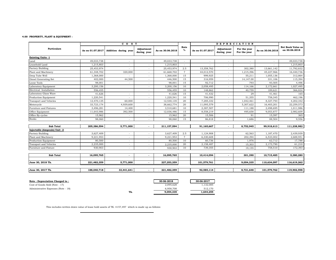# **4.00 PROPERTY, PLANT & EQUIPMENT :**

| <b>Particulars</b><br><b>Existing Units -1</b><br>Land | As on 01.07.2017 | Addition during year     | Adjustment               |                  | Rate            |                  |                           |                              |                  | <b>Net Book Value as</b> |
|--------------------------------------------------------|------------------|--------------------------|--------------------------|------------------|-----------------|------------------|---------------------------|------------------------------|------------------|--------------------------|
|                                                        |                  |                          | during year              | As on 30.06.2018 | %               | As on 01.07.2017 | Adjustment<br>during year | For the year<br>For the year | As on 30.06.2018 | on 30.06.2018            |
|                                                        |                  |                          |                          |                  |                 |                  |                           |                              |                  |                          |
|                                                        | 49,033,738       |                          |                          | 49,033,738       | $\sim$          |                  | $\overline{\phantom{a}}$  |                              | $\sim$           | 49,033,738               |
| Leasehold Land                                         | 1,215,803        |                          |                          | 1,215,803        | $\sim$          |                  |                           |                              |                  | 1,215,803                |
| <b>Factory Building</b>                                | 25,453,974       | $\overline{\phantom{a}}$ |                          | 25,453,974       | 2.5             | 13,358,762       | $\overline{\phantom{a}}$  | 302,380                      | 13,661,142       | 11,792,832               |
| Plant and Machinery                                    | 61,348,702       | 320,000                  | ÷                        | 61,668,702       | $7\overline{ }$ | 44,012,570       | $\overline{\phantom{a}}$  | 1,215,396                    | 45,227,966       | 16,440,736               |
| Deep Tube Well                                         | 1,368,000        |                          | $\overline{\phantom{a}}$ | 1,368,000        | 15              | 999,925          | $\sim$                    | 55,211                       | 1,055,136        | 312,864                  |
| Diesel Generating Set                                  | 402,000          | 44,500                   | $\overline{\phantom{a}}$ | 446,500          | 15              | 316,959          | $\sim$                    | 14,147.00                    | 331,106          | 115,394                  |
| Loose Tools                                            | 98,001           |                          | $\sim$                   | 98,001           | 15              | 92,712           | $\overline{\phantom{a}}$  | 793                          | 93,505           | 4,496                    |
| Laboratory Equipment                                   | 3,200,156        |                          |                          | 3,200,156        | 10              | 2,058,495        |                           | 114,166                      | 2,172,661        | 1,027,495                |
| Electrical Installation                                | 556,455          |                          | $\overline{\phantom{a}}$ | 556,455          | 10              | 148,862          |                           | 40,759                       | 189,621          | 366,834                  |
| Laboratory Glass Ware                                  | 41,626           |                          |                          | 41,626           | 15              | 41,432           | $\overline{\phantom{a}}$  | 29                           | 41,461           | 165                      |
| Production Equipment                                   | 1,220,541        |                          |                          | 1,220,541        | 10              | 706,990          | $\overline{\phantom{a}}$  | 51,355                       | 758,345          | 462,196                  |
| Transport and Vehicles                                 | 12,470,135       | 60,000                   | $\overline{\phantom{a}}$ | 12,530,135       | 20              | 7,285,332        | $\sim$                    | 1,042,461                    | 8,327,793        | 4,202,342                |
| Motorcycle                                             | 33,723,174       | 4,939,600                |                          | 38,662,774       | 20              | 11,095,579       |                           | 5,307,622                    | 16,403,201       | 22,259,573               |
| Furniture and Fixtures                                 | 3,496,281        | 14,400                   | $\overline{\phantom{a}}$ | 3,510,681        | 10              | 2,387,507        | $\overline{\phantom{a}}$  | 111,188                      | 2,498,695        | 1,011,986                |
| Office Equipment                                       | 11,643,986       | 392,500                  |                          | 12,036,486       | 15              | 8,558,219        |                           | 495,658                      | 9,053,877        | 2,982,609                |
| Office By-cycles                                       | 15,962           |                          |                          | 15,962           | 20              | 15,506           |                           | 91                           | 15,597           | 365                      |
| <b>Books</b>                                           | 98,060           | $\sim$                   | $\sim$                   | 98,060           | 15              | 86,818           | $\sim$                    | 1,686                        | 88,504           | 9,556                    |
| <b>Sub Total</b>                                       | 205,386,594      | 5,771,000                |                          | 211,157,594      |                 | 91,165,667       |                           | 8,752,945                    | 99,918,613       | 111,238,982              |
| Injectable (Ampoule) Unit -2                           |                  |                          |                          |                  |                 |                  |                           |                              |                  |                          |
| <b>Factory Building</b>                                | 3,627,409        |                          |                          | 3,627,409        | 2.5             | 1,124,908        |                           | 62,563                       | 1,187,470        | 2,439,939                |
| Plant and Machinery                                    | 9,221,953        |                          |                          | 9,221,953        | $7\overline{ }$ | 6,330,608        | $\overline{\phantom{a}}$  | 202,394                      | 6,533,002        | 2,688,951                |
| Production Equipment                                   | 80,500           |                          |                          | 80,500           | 10              | 60,736           | $\sim$                    | 1,976                        | 62,712           | 17,788                   |
| Transport and Vehicles                                 | 2,235,000        | $\overline{\phantom{a}}$ | $\overline{\phantom{a}}$ | 2,235,000        | 20              | 2,158,487        | $\sim$                    | 15,303                       | 2,173,790        | 61,210                   |
| Furniture and Fixture                                  | 930.903          |                          |                          | 930.903          | 10              | 739.355          |                           | 19,155                       | 758,510          | 172,393                  |
| <b>Sub Total</b>                                       | 16,095,765       | $\overline{\phantom{a}}$ |                          | 16,095,765       |                 | 10,414,094       | $\sim$                    | 301,390                      | 10,715,485       | 5,380,280                |
|                                                        |                  |                          |                          |                  |                 |                  |                           |                              |                  |                          |
| June 30, 2018 Tk.                                      | 221,482,359      | 5,771,000                | $\overline{\phantom{a}}$ | 227,253,359      |                 | 101,579,761      | $\overline{\phantom{a}}$  | 9,054,335                    | 110,634,097      | 116,619,262              |
| June 30, 2017 Tk.                                      | 188,040,718      | 33,441,641               |                          | 221,482,359      |                 | 92,585,114       | $\sim$                    | 8,721,648                    | 101,579,762      | 119,902,598              |

| Note : Depreciation Charged to :    | 30-06-2018 | 30-06-2017 |
|-------------------------------------|------------|------------|
| Cost of Goods Sold (Note - 17)      | 2.095.628  | 1,132,085  |
| Administrative Expenses (Note - 18) | 6.958.708  | 512.170    |
|                                     |            |            |

|     | 30-06-2018 | 30-06-2017 |
|-----|------------|------------|
|     | 2,095,628  | 1,132,085  |
|     | 6.958.708  | 512.170    |
| Tk. | 9,054,335  | 1,644,255  |

This includes written down value of lease hold assets of TK. 4157,497 which is made up as follows: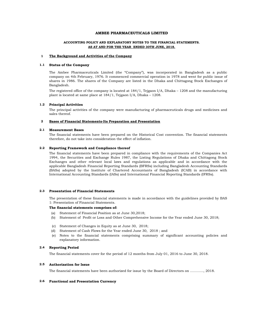# **ACCOUNTING POLICY AND EXPLANATORY NOTES TO THE FINANCIAL STATEMENTS. AS AT AND FOR THE YEAR ENDED 30TH JUNE, 2018.**

#### **1 The Background and Activities of the Company**

#### **1.1 Status of the Company**

The Ambee Pharmaceuticals Limited (the "Company"), was incorporated in Bangladesh as a public company on 4th February, 1976. It commenced commercial operation in 1978 and went for public issue of shares in 1986. The shares of the Company are listed in the Dhaka and Chittagong Stock Exchanges of Bangladesh.

The registered office of the company is located at 184/1, Tejgaon I/A, Dhaka – 1208 and the manufacturing plant is located at same place at 184/1, Tejgaon I/A, Dhaka – 1208.

#### **1.2 Principal Activities**

The principal activities of the company were manufacturing of pharmaceuticals drugs and medicines and sales thereof.

#### **2 Bases of Financial Statements-Its Preparation and Presentation**

#### **2.1 Measurement Bases**

The financial statements have been prepared on the Historical Cost convention. The financial statements therefore, do not take into consideration the effect of inflation.

#### **2.2 Reporting Framework and Compliance thereof**

The financial statements have been prepared in compliance with the requirements of the Companies Act 1994, the Securities and Exchange Rules 1987, the Listing Regulations of Dhaka and Chittagong Stock Exchanges and other relevant local laws and regulations as applicable and in accordance with the applicable Bangladesh Financial Reporting Standards (BFRSs) including Bangladesh Accounting Standards (BASs) adopted by the Institute of Chartered Accountants of Bangladesh (ICAB) in accordance with International Accounting Standards (IASs) and International Financial Reporting Standards (IFRSs).

#### **2.3 Presentation of Financial Statements**

The presentation of these financial statements is made in accordance with the guidelines provided by BAS 1: Presentation of Financial Statements.

# **The financial statements comprises of:**

- (a) Statement of Financial Position as at June 30,2018;
- (b) Statement of Profit or Loss and Other Comprehensive Income for the Year ended June 30, 2018;
- (c) Statement of Changes in Equity as at June 30, 2018;
- (d) Statement of Cash Flows for the Year ended June 30, 2018 ; and
- (e) Notes to the financial statements comprising summary of significant accounting policies and explanatory information.

#### **2.4 Reporting Period**

The financial statements cover for the period of 12 months from July 01, 2016 to June 30, 2018.

#### **2.5 Authorization for Issue**

The financial statements have been authorized for issue by the Board of Directors on ………..., 2018.

## **2.6 Functional and Presentation Currency**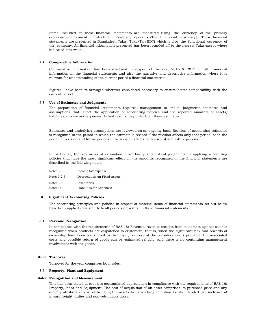Items included in these financial statements are measured using the currency of the primary economic environment in which the company operates ('the functional currency'). These financial statements are presented in Bangladesh Taka (Taka/Tk./BDT) which is also the functional currency of the company. All financial information presented has been rounded off to the nearest Taka except where indicated otherwise.

## **2.7 Comparative Information**

Comparative information has been disclosed in respect of the year 2016 & 2017 for all numerical information in the financial statements and also the narrative and descriptive information where it is relevant for understanding of the current period's financial statements.

Figures have been re-arranged wherever considered necessary to ensure better comparability with the current period.

#### **2.8 Use of Estimates and Judgments**

The preparation of financial statements requires management to make judgments, estimates and assumptions that affect the application of accounting policies and the reported amounts of assets, liabilities, income and expenses. Actual results may differ from these estimates.

Estimates and underlying assumptions are reviewed on an ongoing basis.Revision of accounting estimates is recognized in the period in which the estimate is revised if the revision affects only that period, or in the period of revision and future periods if the revision affects both current and future periods.

In particular, the key areas of estimation, uncertainty and critical judgments in applying accounting policies that have the most significant effect on the amounts recognized in the financial statements are described in the following notes:

| Note: 3.8   | Income tax expense            |
|-------------|-------------------------------|
| Note: 3.2.3 | Depreciation on Fixed Assets. |
| Note: 3.6   | Inventories                   |
| Note: 15    | Liabilities for Expenses      |

#### **3 Significant Accounting Policies**

The accounting principles and policies in respect of material items of financial statements set out below have been applied consistently to all periods presented in these financial statements.

#### **3.1 Revenue Recognition**

In compliance with the requirements of BAS 18: Revenue, revenue receipts from customers against sales is recognized when products are dispatched to customers, that is, when the significant risk and rewards of ownership have been transferred to the buyer, recovery of the consideration is probable, the associated costs and possible return of goods can be estimated reliably, and there is no continuing management involvement with the goods.

#### **3.1.1 Turnover**

Turnover for the year comprises local sales.

#### **3.2 Property, Plant and Equipment**

#### **3.2.1 Recognition and Measurement**

This has been stated at cost less accumulated depreciation in compliance with the requirements of BAS 16: Property, Plant and Equipment. The cost of acquisition of an asset comprises its purchase price and any directly attributable cost of bringing the assets to its working condition for its intended use inclusive of inward freight, duties and non-refundable taxes.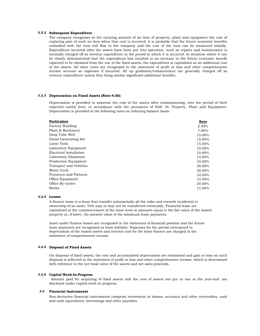#### **3.2.2 Subsequent Expenditure**

The company recognizes in the carrying amount of an item of property, plant and equipment the cost of replacing part of such an item when that cost is incurred, it is probable that the future economic benefits embodied with the item will flow to the company and the cost of the item can be measured reliably. Expenditure incurred after the assets have been put into operation, such as repairs and maintenance is normally charged off as revenue expenditure in the period in which it is incurred. In situation where it can be clearly demonstrated that the expenditure has resulted in an increase in the future economic benefit expected to be obtained from the use of the fixed assets, the expenditure is capitalized as an additional cost of the assets. All other costs are recognized to the statement of profit or loss and other comprehensive income account as expenses if incurred. All up gradation/enhancement are generally charged off as revenue expenditure unless they bring similar significant additional benefits.

## **3.2.3 Depreciation on Fixed Assets (Note-4.00)**

Depreciation is provided to amortize the cost of the assets after commissioning, over the period of their expected useful lives, in accordance with the provisions of BAS 16: Property, Plant and Equipment. Depreciation is provided at the following rates on reducing balance basis:

| <b>Particulars</b>      | Rate   |
|-------------------------|--------|
| <b>Factory Building</b> | 2.50%  |
| Plant & Machinery       | 7.00%  |
| Deep Tube Well          | 15.00% |
| Diesel Generating Set   | 15.00% |
| Loose Tools             | 15.00% |
| Laboratory Equipment    | 10.00% |
| Electrical Installation | 10.00% |
| Laboratory Glassware    | 15.00% |
| Production Equipment    | 10.00% |
| Transport and Vehicles  | 20.00% |
| Motor Cycle             | 20.00% |
| Furniture and Fixtures  | 10.00% |
| Office Equipment        | 15.00% |
| Office By-cycles        | 20.00% |
| <b>Books</b>            | 15.00% |

## **3.2.4 Leases**

A finance lease is a lease that transfer substantially all the risks and rewards incidental to ownership of an asset. Title may or may not be transferred eventually. Financial lease are capitalized at the commencement of the lease term at amounts equal to the fair value of the leased property or, if lower, the present value of the minimum lease payments.

Asset under finance leases are recognized in the statement of financial position and the future lease payments are recognized as lease liabilitiy. Expenses for the period correspond to depreciation of the leased assets and interest cost for the lease finance are charged in the statement of comprehensive income.

#### **3.2.5 Disposal of Fixed Assets**

On disposal of fixed assets, the cost and accumulated depreciation are eliminated and gain or loss on such disposal is reflected in the statement of profit or loss and other comprehensive income, which is determined with reference to the net book value of the assets and net sales proceeds.

## **3.2.6 Capital Work-In-Progress**

Amount paid for acquiring of fixed assets and the cost of assets not put to use at the year-end are disclosed under capital work-in-progress.

#### **3.3 Financial Instruments**

Non-derivative financial instruments comprise investment in shares, accounts and other receivables, cash and cash equivalents, borrowings and other payables.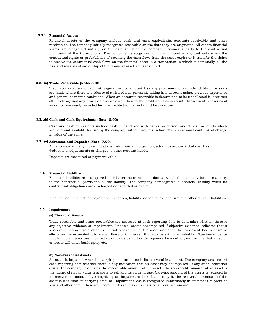#### **3.3.1 Financial Assets**

Financial assets of the company include cash and cash equivalents, accounts receivable and other receivables. The company initially recognizes receivable on the date they are originated. All others financial assets are recognized initially on the date at which the company becomes a party to the contractual provisions of the transactions. The company derecognizes a financial asset when, and only when the contractual rights or probabilities of receiving the cash flows from the asset expire or it transfer the rights to receive the contractual cash flows on the financial asset in a transaction in which substantially all the risk and rewards of ownership of the financial asset are transferred.

#### **3.3.1(a) Trade Receivable (Note- 6.00)**

Trade receivable are created at original invoice amount less any provisions for doubtful debts. Provisions are made where there is evidence of a risk of non-payment, taking into account aging, previous experience and general economic conditions. When an accounts receivable is determined to be uncollected it is written off, firstly against any provision available and then to the profit and loss account. Subsequent recoveries of amounts previously provided for, are credited to the profit and loss account.

#### **3.3.1(b) Cash and Cash Equivalents (Note- 8.00)**

Cash and cash equivalents include cash in hand and with banks on current and deposit accounts which are held and available for use by the company without any restriction. There is insignificant risk of change in value of the same.

#### **3.3.1(c) Advances and Deposits (Note- 7.00)**

Advances are initially measured at cost. After initial recognition, advances are carried at cost less deductions, adjustments or charges to other account heads.

Deposits are measured at payment value.

#### **3.4 Financial Liability**

Financial liabilities are recognized initially on the transaction date at which the company becomes a party to the contractual provisions of the liability. The company derecognizes a financial liability when its contractual obligations are discharged or cancelled or expire.

Finance liabilities include payable for expenses, liability for capital expenditure and other current liabilities.

#### **3.5 Impairment**

#### **(a) Financial Assets**

Trade receivable and other receivables are assessed at each reporting date to determine whether there is any objective evidence of impairment. Financial assets are impaired if objective evidence indicates that a loss event has occurred after the initial recognition of the asset and that the loss event had a negative effects on the estimated future cash flows of that asset, that can be estimated reliably. Objective evidence that financial assets are impaired can include default or delinquency by a debtor, indications that a debtor or issuer will enter bankruptcy etc.

#### **(b) Non-Financial Assets**

An asset is impaired when its carrying amount exceeds its recoverable amount. The company assesses at each reporting date whether there is any indication that an asset may be impaired. If any such indication exists, the company estimates the recoverable amount of the asset. The recoverable amount of an asset is the higher of its fair value less costs to sell and its value in use. Carrying amount of the assets is reduced to its recoverable amount by recognizing an impairment loss if, and only if, the recoverable amount of the asset is less than its carrying amount. Impairment loss is recognized immediately in statement of profit or loss and other comprehensive income unless the asset is carried at revalued amount.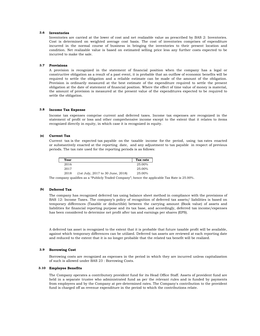#### **3.6 Inventories**

Inventories are carried at the lower of cost and net realizable value as prescribed by BAS 2: Inventories. Cost is determined on weighted average cost basis. The cost of inventories comprises of expenditure incurred in the normal course of business in bringing the inventories to their present location and condition. Net realizable value is based on estimated selling price less any further costs expected to be incurred to make the sale.

#### **3.7 Provisions**

A provision is recognized in the statement of financial position when the company has a legal or constructive obligation as a result of a past event, it is probable that an outflow of economic benefits will be required to settle the obligation and a reliable estimate can be made of the amount of the obligation. Provision is ordinarily measured at the best estimate of the expenditure required to settle the present obligation at the date of statement of financial position. Where the effect of time value of money is material, the amount of provision is measured at the present value of the expenditures expected to be required to settle the obligation.

#### **3.8 Income Tax Expense**

Income tax expenses comprise current and deferred taxes. Income tax expenses are recognized in the statement of profit or loss and other comprehensive income except to the extent that it relates to items recognized directly in equity, in which case it is recognized in equity.

#### **(a) Current Tax**

Current tax is the expected tax payable on the taxable income for the period, using tax rates enacted or substantively enacted at the reporting date, and any adjustment to tax payable in respect of previous periods. The tax rate used for the reporting periods is as follows:

| Year |                                   | Tax rate |
|------|-----------------------------------|----------|
| 2016 |                                   | 25.00%   |
| 2017 |                                   | 25.00%   |
| 2018 | (1st July, 2017 to 30 June, 2018) | 25.00%   |

The company qualifies as a "Publicly Traded Company"; hence the applicable Tax Rate is 25.00%.

#### **(b) Deferred Tax**

The company has recognized deferred tax using balance sheet method in compliance with the provisions of BAS 12: Income Taxes. The company's policy of recognition of deferred tax assets/ liabilities is based on temporary differences (Taxable or deductible) between the carrying amount (Book value) of assets and liabilities for financial reporting purpose and its tax base, and accordingly, deferred tax income/expenses has been considered to determine net profit after tax and earnings per shares (EPS).

A deferred tax asset is recognized to the extent that it is probable that future taxable profit will be available, against which temporary differences can be utilized. Deferred tax assets are reviewed at each reporting date and reduced to the extent that it is no longer probable that the related tax benefit will be realized.

#### **3.9 Borrowing Cost**

Borrowing costs are recognized as expenses in the period in which they are incurred unless capitalization of such is allowed under BAS 23 : Borrowing Costs.

#### **3.10 Employee Benefits**

The Company operates a contributory provident fund for its Head Office Staff. Assets of provident fund are held in a separate trustee who administrated fund as per the relevant rules and is funded by payments from employees and by the Company at pre-determined rates. The Company's contribution to the provident fund is charged off as revenue expenditure in the period to which the contributions relate.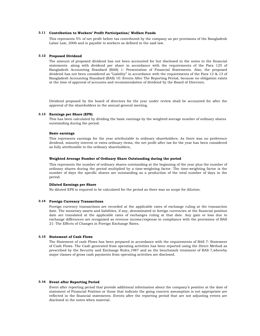#### **3.11 Contribution to Workers' Profit Participation/ Welfare Funds**

This represents 5% of net profit before tax contributed by the company as per provisions of the Bangladesh Labor Law, 2006 and is payable to workers as defined in the said law.

#### **3.12 Proposed Dividend**

The amount of proposed dividend has not been accounted for but disclosed in the notes to the financial statements along with dividend per share in accordance with the requirements of the Para 125 of Bangladesh Accounting Standard (BAS) 1: Presentation of Financial Statements. Also, the proposed dividend has not been considered as "Liability" in accordance with the requirements of the Para 12 & 13 of Bangladesh Accounting Standard (BAS) 10: Events After The Reporting Period, because no obligation exists at the time of approval of accounts and recommendation of dividend by the Board of Directors.

Dividend proposed by the board of directors for the year under review shall be accounted for after the approval of the shareholders in the annual general meeting.

# **3.13 Earnings per Share (EPS)**

This has been calculated by dividing the basic earnings by the weighted average number of ordinary shares outstanding during the period.

## **Basic earnings**

This represents earnings for the year attributable to ordinary shareholders. As there was no preference dividend, minority interest or extra ordinary items, the net profit after tax for the year has been considered as fully attributable to the ordinary shareholders,

# **Weighted Average Number of Ordinary Share Outstanding during the period**

This represents the number of ordinary shares outstanding at the beginning of the year plus the number of ordinary shares during the period multiplied by a time-weighting factor. The time-weighting factor is the number of days the specific shares are outstanding as a production of the total number of days in the period.

# **Diluted Earnings per Share**

No diluted EPS is required to be calculated for the period as there was no scope for dilution.

#### **3.14 Foreign Currency Transactions**

Foreign currency transactions are recorded at the applicable rates of exchange ruling at the transaction date. The monetary assets and liabilities, if any, denominated in foreign currencies at the financial position date are translated at the applicable rates of exchanges ruling at that date. Any gain or loss due to exchange differences are recognized as revenue income/expense in compliance with the provisions of BAS 21: The Effects of Changes in Foreign Exchange Rates.

#### **3.15 Statement of Cash Flows**

The Statement of cash Flows has been prepared in accordance with the requirements of BAS 7: Statement of Cash Flows. The Cash generated from operating activities has been reported using the Direct Method as prescribed by the Security and Exchange Rules,1987 and as the benchmark treatment of BAS 7,whereby major classes of gross cash payments from operating activities are disclosed.

#### **3.16 Event after Reporting Period**

Event after reporting period that provide additional information about the company's position at the date of statement of Financial Position or those that indicate the going concern assumption is not appropriate are reflected in the financial statements. Events after the reporting period that are not adjusting events are disclosed in the notes when material.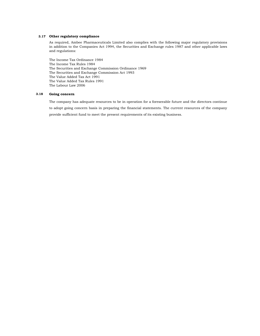## **3.17 Other regulatory compliance**

As required, Ambee Pharmaceuticals Limited also complies with the following major regulatory provisions in addition to the Companies Act 1994, the Securities and Exchange rules 1987 and other applicable laws and regulations:

The Income Tax Ordinance 1984 The Income Tax Rules 1984 The Securities and Exchange Commission Ordinance 1969 The Securities and Exchange Commission Act 1993 The Value Added Tax Act 1991 The Value Added Tax Rules 1991 The Labour Law 2006

#### **3.18 Going concern**

The company has adequate resources to be in operation for a foreseeable future and the directors continue to adopt going concern basis in preparing the financial statements. The current resources of the company provide sufficient fund to meet the present requirements of its existing business.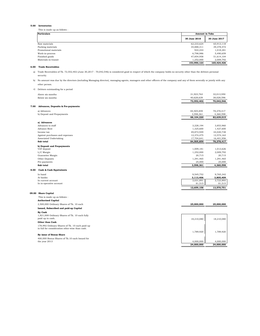#### **5.00 Inventories**

This is made up as follows :

| <b>Particulars</b>    | <b>Amount in Taka</b> |              |
|-----------------------|-----------------------|--------------|
|                       | 30 June 2018          | 30 June 2017 |
| Raw materials         | 62,233,624            | 65,913,118   |
| Packing materials     | 34,888,311            | 39,378,472   |
| Promotional materials | 922.244               | 1,018,281    |
| Work-in-process       | 6,798,986             | 5,490,659    |
| Finished goods        | 47,854,958            | 51,614,104   |
| Materials-in-transit  | 1.252.000             | 2.009.792    |
|                       | 153,950,123           | 165.424.426  |

#### **6.00 Trade Receivables**

a) Trade Receivables of Tk. 72,552,402 (June 30,2017 - 70,042,546) is considered good in respect of which the company holds no security other than the debtors personal security.

b) No amount was due by the directors (including Managing director), managing agents, managers and other officers of the company and any of them severally or jointly with any other person.

| c) |  | Debtors outstanding for a period |  |  |  |
|----|--|----------------------------------|--|--|--|
|----|--|----------------------------------|--|--|--|

|      | Above six months                                | 31,923,763 | 32,013,950 |
|------|-------------------------------------------------|------------|------------|
|      | Below six months                                | 40,628,639 | 38,028,596 |
|      |                                                 | 72,552,402 | 70,042,546 |
| 7.00 | Advances, Deposits & Pre-payments:              |            |            |
|      | a) Advances                                     | 84,505,859 | 78,278,417 |
|      | b) Deposit and Prepayments                      | 3,598,361  | 4,360,598  |
|      |                                                 | 88,104,220 | 82,639,015 |
|      | a) Advances                                     |            |            |
|      | Advances to staff                               | 3,228,194  | 3,853,960  |
|      | Advance Rent                                    | 1,325,600  | 1,427,600  |
|      | Income tax                                      | 49,872,949 | 44,020,738 |
|      | Against purchases and expenses                  | 12,374,475 | 12,574,163 |
|      | Associated Undertaking                          | 17,704,641 | 16,401,956 |
|      | Sub total                                       | 84,505,859 | 78,278,417 |
|      | b) Deposit and Prepayments                      |            |            |
|      | VAT deposit                                     | 1,009,181  | 1,013,626  |
|      | L/C Margin                                      | 1,252,000  | 2,009,792  |
|      | Guarantee Margin                                | 20,715     | 20,715     |
|      | Other Deposits                                  | 1,291,465  | 1,291,465  |
|      | Pre-payments                                    | 25,000     | 25,000     |
|      | Sub total                                       | 3,598,361  | 4,360,598  |
| 8.00 | <b>Cash &amp; Cash Equivalents</b>              |            |            |
|      | In hand                                         | 9,545,752  | 9,765,342  |
|      | At banks:                                       | 3,113,406  | 3,805,409  |
|      | In current account                              | 3,031,891  | 3,723,893  |
|      | In in-operative account                         | 81,515     | 81,515     |
|      |                                                 | 12,659,158 | 13,570,751 |
|      | 09.00 Share Capital                             |            |            |
|      | This is made up as follows :                    |            |            |
|      | <b>Authorised Capital</b>                       |            |            |
|      | 2,500,000 Ordinary Shares of Tk. 10 each        | 25,000,000 | 25,000,000 |
|      | Issued, Subscribed and paid-up Capital          |            |            |
|      | By Cash                                         |            |            |
|      | 1,821,008 Ordinary Shares of Tk. 10 each fully  |            |            |
|      | paid up in cash.                                | 18,210,080 | 18,210,080 |
|      | Other than Cash                                 |            |            |
|      | 178,992 Ordinary Shares of Tk. 10 each paid-up  |            |            |
|      | in full for consideration other-wise than cash. |            |            |
|      |                                                 | 1,789,920  | 1,789,920  |
|      | By issue of Bonus Share                         |            |            |
|      | 400,000 Bonus Shares of Tk.10 each Issued for   |            |            |
|      | the year 2013                                   | 4,000,000  | 4,000,000  |
|      |                                                 | 24,000,000 | 24,000,000 |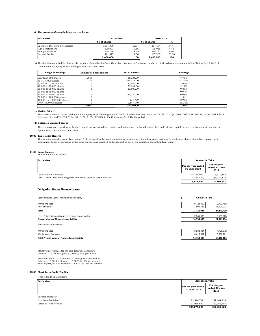## **a) The break-up of share-holding is given below :**

| <b>Particulars</b>               |                     | 2017-2018 |                     | 2016-2017 |  |
|----------------------------------|---------------------|-----------|---------------------|-----------|--|
|                                  | <b>No of Shares</b> |           | <b>No of Shares</b> | $\%$      |  |
| Sponsors, Directors & Associates | 1,591,330           | 66.31     | 1,591,330           | 66.31     |  |
| ICB & Institutions               | 172,003             | 7.16      | 105.915             | 4.41      |  |
| Foreign Investors                | 214.790             | 8.95      | 214.790             | 8.95      |  |
| General Public                   | 421.877             | 17.58     | 487.965             | 20.33     |  |
|                                  | 2.400.000           | 100       | 2.400.000           | 100       |  |

**b**) The distribution schedule showing the number of shareholders' and their shareholdings in Percentage has been disclosed as a requirement of the "Listing Regulation" of Dhaka and Chittagong Stock Exchanges as on 30 June, 2018.

| <b>Range of Holdings</b>    | <b>Number of Shareholders</b> | <b>No. of Shares</b> | Holdings |
|-----------------------------|-------------------------------|----------------------|----------|
| Less than 500 shares        | 2018                          | 186,334.00           | 7.76%    |
| 501 to 5,000 shares         | 211                           | 295,311.00           | 12.30%   |
| 5,001 to 10,000 shares      |                               | 40.549.00            | 1.69%    |
| 10,001 to 20,000 shares     |                               | 51.247.00            | 2.14%    |
| 20,001 to 30,000 shares     |                               | 20,500.00            | 0.85%    |
| 30,001 to 40,000 shares     |                               |                      | $0.00\%$ |
| 40,001 to 50,000 shares     |                               | 144,120.00           | 6.01%    |
| 50,001 to 100,000 shares    |                               |                      |          |
| 100,001 to 1,000,000 shares |                               | 214,790              | 8.95%    |
| Over $1.000,000$ shares     |                               | 1.447.149            | 60.30%   |
|                             | 2.243                         | 2.400.000            | 100.%    |

#### **c) Market Price :**

The shares are listed in the Dhaka and Chittagong Stock Exchanges, on 30.06.2018 each share was quoted at Tk. 591.7.10 (on 30.06.2017 - Tk. 406.10) in the Dhaka Stock<br>Exchange Ltd. and Tk. 590.70 (on 30.10. 2017 - Tk. 399.

# **d) Option on unissued shares :**

There is no option regarding authorised capital not yet issued but can be used to increase the issued, subscribed and paid-up capital through the issuance of new shares against cash contributions and bonus.

#### **10.00 Tax-Holiday Reserve**

This is being provided out of Tax-Holiday Profit to invest in the same undertaking or in any new industrial undertaking or in stocks and shares of a public company or in<br>government bonds or securities or for other purposes

**11.00 Lease Finance** This is made up as follows :

| <b>Particulars</b>                                                    | <b>Amount in Taka</b>              |                                       |
|-----------------------------------------------------------------------|------------------------------------|---------------------------------------|
|                                                                       | For the year ended<br>30 June 2018 | For the year<br>ended 30 June<br>2017 |
| Loan from GSP Finance                                                 | 14.754.093                         | 16,310,163                            |
| Less: Current Portion of long term loan being payable within one year | (8, 138, 494)                      | (7,720,872)                           |
|                                                                       | 6,615,599                          | 8.589.291                             |

## **Obligation Under Finance Leases**

| Gross Finance Lease- minimum lease liability            |                        | <b>Amount in Taka</b>   |  |
|---------------------------------------------------------|------------------------|-------------------------|--|
| Within one year<br>After one year                       | 9.723.408<br>7.996.623 | 9,723,408<br>17,720,031 |  |
| Total                                                   | 17.720.031             | 27,443,439              |  |
| Less: Future finance charges on finance lease liability | 2.965.938              | 5,501,665               |  |
| Present Value of Finance Lease liability                | 14,754,093             | 21,941,774              |  |
| This consist of as follows:                             |                        |                         |  |
| Within one year                                         | 8,138,494              | 7,720,872               |  |
| Within two to five years                                | 6,615,599              | 8,589,291               |  |
| <b>Total Present Value of Finance Lease liability</b>   | 14.754.093             | 16.310.163              |  |

Effective interest rate for the said loan was as follows: October 03,2016 to August 30,2019 @ 14% per annum

November 09,2016 to October 05,2019 @ 14% per annum February 15,2017 to January 15,2020 @ 14% per annum February 05,2017 to November 05,2020 @ 14% per annum

#### **12.00 Short Term Credit Facility**

This is made up as follows :

| <b>Particulars</b>                            | <b>Amount in Taka</b>              |                                       |
|-----------------------------------------------|------------------------------------|---------------------------------------|
|                                               | For the year ended<br>30 June 2018 | For the year<br>ended 30 June<br>2017 |
| Secured Overdraft<br>$\overline{\phantom{a}}$ |                                    |                                       |
| Overdraft Facilities                          | 72,516,719                         | 157,664,218                           |
| Letter of Trust Receipt                       | 31,058,631                         | 30,966,405                            |
|                                               | 103,575,350                        | 188,630,623                           |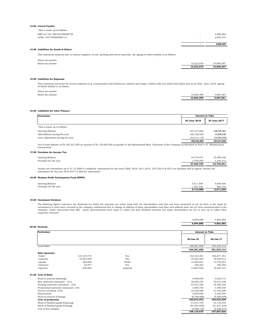#### **13.00 Interest Payable:**

|                              | $\sim$                   | 6.866.609 |
|------------------------------|--------------------------|-----------|
| UCBL 1041749000000115        | $\sim$                   | 2.965.744 |
| NBP A/C No. 000162700000728  | $\overline{\phantom{a}}$ | 3,900,864 |
| This is made up as follows : |                          |           |

# **14.00 Liabilities for Goods & Others**

This represents amounts due to various suppliers of raw, packing and stores materials, the ageing of which liability is as follows:

| Above six months | -          | -          |
|------------------|------------|------------|
| Below six months | 10.023.879 | 10.008.297 |
|                  | 10.023.879 | 10.008.297 |

#### **15.00 Liabilities for Expenses**

This represents provision for various expenses (e.g. remuneration and allowances, salaries and wages, utilities bills etc) which have fallen due as on 30th June, 2018, ageing of which liability is as follows

| Above six months |            |           |
|------------------|------------|-----------|
| Below six months | 10.064.390 | 9.867.061 |
|                  | 10.064.390 | 9.867.061 |

#### **16.00 Laibilities for other Finance**

| <b>Particulars</b>               |                | <b>Amount in Taka</b> |  |
|----------------------------------|----------------|-----------------------|--|
|                                  | 30 June 2018   | 30 June 2017          |  |
| This is made up as follows :     |                |                       |  |
| Opening Balance                  | 107,317,666    | 108,345,361           |  |
| Add.Addition during the year     | 120,126,520    | 13,896,548            |  |
| Less: Adjustment during the year | (42, 213, 127) | (14, 924, 243)        |  |
|                                  | 185,231,059    | 107,317,666           |  |
|                                  |                |                       |  |

Out of total balance of Tk.185,231,059 an amount of Tk 125,650,308 is payable to Aziz Mohammad Bhai, Chairman of the Company as disclosed at Note # 37 "Related party transactions"

## **17.00 Provision for Income Tax**

|                        |  |  | 37.524.724 | 34.734.641 |
|------------------------|--|--|------------|------------|
| Provision for the year |  |  | 2.790.083  | 2.344.215  |
| Opening Balance        |  |  | 34.734.641 | 32.390.426 |

Income tax assessment up to 31.12.2008 is completed. Assessment for the years 2009, 2010, 2011,2012, 2013,2014 & 2015 are finalized and in appeal. Income tax assessment for the year 2016-2017 is filed for assessment.

#### **18.00 Workers Profit Participation Fund (WPPF)**

| Opening Balance<br>Provision for the year | 5.011.559<br>1.707.529<br>6.719.088 | 4.048.366<br>963.193<br>5.011.559 |
|-------------------------------------------|-------------------------------------|-----------------------------------|
|                                           |                                     |                                   |

#### **19.00 Unclaimed Dividend**

The following figures represent the dividends for which the warrants are either lying with the shareholders and have not been presented as yet by them to the bank for<br>encashment or have been returned to the company undeliv respective warrants.

|                                       |             |         | 6,994,888             | 4,863,582      |
|---------------------------------------|-------------|---------|-----------------------|----------------|
|                                       |             |         | 6,994,888             | 4,863,582      |
| 20.00 Revenue                         |             |         |                       |                |
| <b>Particulars</b>                    |             |         | <b>Amount in Taka</b> |                |
|                                       |             |         | 30-Jun-18             | 30-Jun-17      |
| <b>Local Sales</b>                    |             |         | 349.381.558           | 351,819,114    |
|                                       |             |         | 349,381,558           | 351,819,114    |
| Sales Quantity :                      |             |         |                       |                |
| Tablet                                | 124.519.775 | Pcs.    | 242,310,391           | 242,871,761    |
| Capsules                              | 18.394.949  | Pcs.    | 79,364,425            | 79,529,513     |
| Liquids                               | 266,692     | Philes  | 12,582,631            | 12,749,267     |
| Ointment                              | 23,977      | Pcs.    | 236,265               | 285,382        |
| Injection                             | 830.682     | Ampoule | 14,887,846            | 16,383,191     |
| 21.00 Cost of Sales                   |             |         |                       |                |
| Work-in-process (Opening)             |             |         | 5,490,659             | 5,602,714      |
| Raw materials consumed - (.01)        |             |         | 76,620,335            | 76,815,168     |
| Packing materials consumed - (.02)    |             |         | 53,531,282            | 54,760,334     |
| Promotional materials consumed -(.03) |             |         | 3,695,756             | 3,709,548      |
| Factory overhead -(.04)               |             |         | 32,238,598            | 31,432,390     |
| Depreciation                          |             |         | 2,095,628             | 2,203,544      |
| Work-in-process (Closing)             |             |         | (6,798,986)           | (5,490,659)    |
| Cost of production                    |             |         | 166,873,272           | 169,033,039    |
| Stock of finished goods (Opening)     |             |         | 51,614,104            | 52,135,459     |
| Stock of finished goods (Closing)     |             |         | (47, 854, 958)        | (51, 614, 104) |
| Cost of free samples                  |             |         | (2, 496, 743)         | (2, 546, 574)  |
|                                       |             |         | 168,135,675           | 167,007,820    |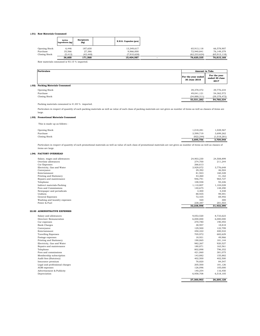## **(.01) Raw Materials Consumed**

|               | Active<br>Ingredients (kg) | <b>Excipients</b><br>(kg) | E.H.G. Capsules (pcs) |                |                |
|---------------|----------------------------|---------------------------|-----------------------|----------------|----------------|
| Opening Stock | 6.446                      | 187,630                   | 13.349.617            | 65,913,118     | 66,578,907     |
| Purchase      | 35.566                     | 27,386                    | 9,966,000             | 72.940.841     | 76.149.379     |
| Closing Stock | (5, 412)                   | (43, 448)                 | (7.910.630)           | (62, 233, 624) | (65, 913, 118) |
|               | 36.600                     | 171.568                   | 15.404.987            | 76.620.335     | 76,815,168     |

Raw materials consumed is 93.15 % imported.

| <b>Particulars</b>                         | <b>Amount in Taka</b>              |                                       |
|--------------------------------------------|------------------------------------|---------------------------------------|
|                                            | For the year ended<br>30 June 2018 | For the year<br>ended 30 June<br>2017 |
| <b>Packing Materials Consumed</b><br>(.02) |                                    |                                       |
| Opening Stock                              | 39,378,472                         | 39,776,234                            |
| Purchase                                   | 49,041,121                         | 54,362,572                            |
| Closing Stock                              | (34,888,311)                       | (39, 378, 472)                        |
|                                            | 53,531,282                         | 54,760,334                            |

#### Packing materials consumed is 41.85 % imported.

Particulars in respect of quantity of each packing materials as well as value of each class of packing materials are not given as number of items as well as classes of items are large.

## **(.03) Promotional Materials Consumed**

This is made up as follows :

|                      | 3.695.756 | 3.709.548   |
|----------------------|-----------|-------------|
| Closing Stock        | (922.244) | (1.018.281) |
| Purchase             | 3.599.719 | 3,699,262   |
| <b>Opening Stock</b> | 1.018.281 | 1.028.567   |
|                      |           |             |

Particulars in respect of quantity of each promotional materials as well as value of each class of promotional materials are not given as number of items as well as classes of items are large.

|       | nems are large.              |            |            |
|-------|------------------------------|------------|------------|
| (.04) | <b>FACTORY OVERHEAD</b>      |            |            |
|       | Salary, wages and allowances | 24,903,230 | 24,508,899 |
|       | Overtime allowances          | 274,700    | 211,244    |
|       | Car Expenses                 | 266,613    | -          |
|       | Electricity, Gas and Water   | 3,929,072  | 3,776,648  |
|       | Conveyance                   | 29,392     | 46,504     |
|       | Entertainment                | 81,923     | 160,328    |
|       | Printing and Stationery      | 43,260     | 41,162     |
|       | Repairs and maintenance      | 946,791    | 965,727    |
|       | Telephone                    | 108,558    | 94,226     |
|       | Indirect materials-Packing   | 1,110,807  | 1,104,028  |
|       | Fees and Commissions         | 140.675    | 148,290    |
|       | Newspaper and periodicals    | 3,400      | 4,448      |
|       | Uniform                      | 88,935     | 99,591     |
|       | General Expenses             | 72,435     | 69,492     |
|       | Washing and laundry expenses | 420        | 300        |
|       | Power & Fuel                 | 238,387    | 201,503    |
|       |                              | 32,238,598 | 31,432,390 |

#### **22.00 ADMINISTRATIVE EXPENSES**

|                                | 27,300,903 | 26,205,128 |
|--------------------------------|------------|------------|
|                                |            |            |
| Depreciation                   | 6,958,708  | 6,518,105  |
| Advertisement & Publicity      | 140,254    | 116,450    |
| AGM expenses                   | 126,096    | 105,000    |
| Legal and professional charges | 205,500    | 181,126    |
| Insurance premium              | 78,820     | 84,547     |
| Audit fees (Statutory)         | 402,500    | 402,500    |
| Membership subscription        | 143,882    | 155,882    |
| Fees and commissions           | 421,060    | 381,075    |
| Telephone                      | 802,898    | 796,352    |
| Repairs and maintenance        | 180,871    | 163,561    |
| Electricity, Gas and Water     | 982,267    | 920,527    |
| Printing and Stationery        | 190,065    | 181,144    |
| Postage expenses               | 18,931     | 49,966     |
| <b>Travelling Expenses</b>     | 705,972    | 682,629    |
| Entertainment                  | 450,322    | 400,532    |
| Conveyance                     | 129,500    | 122,799    |
| <b>Bank Charges</b>            | 38,957     | 18,818     |
| Car expenses                   | 270,780    | 190,493    |
| Directors' Remuneration        | 6,000,000  | 6,000,000  |
| Salary and allowances          | 9,053,520  | 8,733,623  |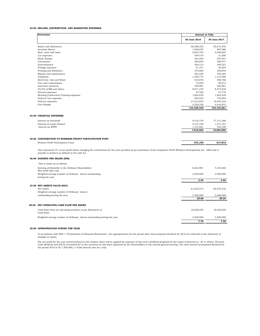## **23.00 SELLING, DISTRIBUTION AND MARKETING EXPENSES**

| <b>Particulars</b>                                      | <b>Amount in Taka</b> |              |
|---------------------------------------------------------|-----------------------|--------------|
|                                                         | 30 June 2018          | 30 June 2017 |
| Salary and allowances                                   | 86,588,252            | 85,512,455   |
| Incentive Bonus                                         | 1,020,070             | 807,986      |
| Rent, rates and taxes                                   | 5,603,762             | 4,839,665    |
| Car expenses                                            | 249,418               | 31,000       |
| Bank charges                                            | 253,250               | 270,401      |
| Conveyance                                              | 264,855               | 286,471      |
| Entertainment                                           | 284.513               | 248,321      |
| Postage expenses                                        | 21,741                | 25,504       |
| Printing and Stationery                                 | 375,860               | 329,643      |
| Repairs and maintenance                                 | 503,240               | 455,205      |
| Telephone                                               | 1,350,775             | 1,315,580    |
| Electricity, Gas and Water                              | 618,876               | 598,766      |
| Fees and commissions                                    | 70.838                | 90,012       |
| Insurance premium                                       | 349,881               | 394,081      |
| TA/DA of MR and others                                  | 9,071,470             | 8,573,678    |
| General expenses                                        | 57,920                | 51,776       |
| Meeting/Conference/Training expenses                    | 1,604,670             | 1,603,449    |
| Delivery Van expenses                                   | 804,576               | 776,003      |
| Delivery expenses                                       | 21,014,052            | 18,544,234   |
| Free Sample                                             | 4,320,330             | 4,410,431    |
|                                                         | 134,428,349           | 129,164,661  |
| <b>24.00 FINANCIAL EXPENSES</b>                         |                       |              |
| Interest on Overdraft                                   | 4,416,734             | 17, 121, 388 |
| Interest on Lease Finance                               | 2,373,728             | 1,517,351    |
| Interest on WPPF                                        | 1,127,601             | 445,320      |
|                                                         | 7,918,063             | 19,084,059   |
| 25.00 CONTRIBUTION TO WORKERS PROFIT PARTICIPATION FUND |                       |              |
| Workers Profit Participation Fund                       | 572,190               | 517.872      |

This represents 5% of net profit before charging the contribution for the year provided as per provisions of the Companies Profit (Workers Participation) Act, 1968 and is payable to workers as defined in the said Act.

## **26.00 EARNING PER SHARE (EPS)**

|       |                                                                             | 7.76       | 7.59       |
|-------|-----------------------------------------------------------------------------|------------|------------|
|       | Weighted average number of Ordinary shares outstanding during the year      | 2,400,000  | 2,400,000  |
|       | Cash flows from net operating activities as per Statement of<br>Cash flows  | 18,626,052 | 18,225,025 |
| 28.00 | NET OPERATING CASH FLOW PER SHARE                                           |            |            |
|       |                                                                             | 25.68      | 25.24      |
|       | Weighted average number of Ordinary shares-<br>outstanding during the year  | 2,400,000  | 2,400,000  |
|       | 27.00 NET ASSETS VALUE (NAV)<br>Net Assets                                  | 61,643,213 | 60,579,232 |
|       |                                                                             | 3.44       | 3.02       |
|       | Weighted average number of Ordinary shares outstanding<br>during the year   | 2,400,000  | 2,400,000  |
|       | Earning attributable to the Ordinary Shareholders<br>(Net profit after tax) | 8,263,981  | 7,254,682  |
|       | This is made up as follows :                                                |            |            |

## **29.00 APPROPRIATION DURING THE YEAR**

In accordance with BAS 1 "Presentation of Financial Statements", the appropriations for the period other than proposed dividend for 2018 are reflected in the statement of changes in equity.

The net profit for the year carried forward in the balance sheet will be applied for payment of this year's dividend proposed by the board of directors @ 30 % (Thirty Percent)<br>Cash dividend and will be accounted for in the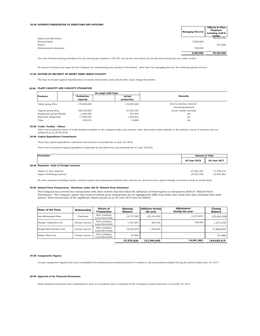#### **30.00 PAYMENT/PERQUISITES TO DIRECTORS AND OFFICERS**

|                         | <b>Managing Director</b> | Officers & Other<br>Employee<br>including staff &<br>worker |
|-------------------------|--------------------------|-------------------------------------------------------------|
| Salary and allowances   | -                        | 98,610,740                                                  |
| Remuneration            | 5,280,000                |                                                             |
| Bonus                   | -                        | 651,868                                                     |
| Entertainment allowance | 720,000                  |                                                             |
|                         | 6.000.000                | 99,262,608                                                  |
|                         |                          |                                                             |

The rate of Board meeting attendance fee per meeting per member is Tk.750 but no fees were drawn by the directors during the year under review.

No amount of money was spent by the Company for compensating any member of the Board, other than the managing director, for rendering special services.

#### **31.00 NATURE OF SECURITY OF SHORT TERM CREDIT FACILITY**

The loan is secured against hypothecation on stocks, fixed assets, land and all other usual charge documents.

#### **32.00 PLANT CAPACITY AND CAPACITY UTILISATION**

| <b>Products</b>           | On single shift basis |             |                          |  |
|---------------------------|-----------------------|-------------|--------------------------|--|
|                           | Production            | Actual      | <b>Remarks</b>           |  |
|                           | capacity              | production  |                          |  |
| Tablet group (Pcs)        | 178,800,000           | 119.055.050 | Due to overtime work for |  |
|                           |                       |             | increasing demand        |  |
| Capsule group (Pcs)       | 188,240,000           | 27,403,487  | As per market demand     |  |
| Suspension group (Phials) | 2.288.000             | 347,530     | -do-                     |  |
| Injectable (Ampoules)     | 17,000,000            | 1,239,561   | -do-                     |  |
| Tube                      | 359,010               | 14,869      | -do-                     |  |

#### **33.00 Credit Facility - Others**

There was no general nature of credit facilities available to the company under any contract, other than trade credit available in the ordinary course of business and not availed of as on 30.06.2018.

## **34.00 Capital Expenditure Commitment**

There was capital expenditure contracted and incurred or provided for at June 30, 2018.

There was no material capital expenditure authorised by the Board but not contracted for at June 30,2018.

| <b>Particulars</b>                      |              | <b>Amount in Taka</b> |  |
|-----------------------------------------|--------------|-----------------------|--|
|                                         | 30 June 2018 | <b>30 June 2017</b>   |  |
| 35.00 Payments made in Foreign currency |              |                       |  |
| Import of Raw material                  | 67.944.393   | 71,354,216            |  |
| Import of Packing material              | 20.523.709   | 22.943.662            |  |

No other expenses including royalty, technical expert and professional advisory fees, interest etc. was incurred or paid in foreign currencies except as stated above.

#### **36.00 Related Party Transactions - Disclosure under IAS 24 "Related Party Disclosure"**

The Company has entered into transactions with other entities that fall within the definition of related party as contained in BAS-24 "Related Party Disclosures". The Company opines that terms of related party transactions do not signigicantly differ from those that could have been obtained from third<br>parties. Total transactions of the significant related parties as at

| Name of the Party         | Relationship  | Nature of<br>Transaction         | Opening<br><b>Balance</b> | <b>Addition during</b><br>the year | Adjustment<br>during the year | Closing<br><b>Balance</b> |
|---------------------------|---------------|----------------------------------|---------------------------|------------------------------------|-------------------------------|---------------------------|
| Aziz Mohammad Bhai        | Chairman      | Inter company<br>Loan/Receivable | 19,737,589                | 120,126,520                        | 14,213,801                    | 125,650,308               |
| Olympic Industries Ltd    | Group Concern | Inter company<br>Loan/Receivable | 1,437,091                 | 565,440                            | 728,060                       | 1,274,470                 |
| Bengal Steel Workers Ltd. | Group Concern | Inter company<br>Loan/Receivable | 16.303.970                | 1.302.685                          | -                             | 17,606,655                |
| Ambee Flims Ltd.          | Group Concern | Inter company<br>Loan/Receivable | 97.986                    | -                                  | -                             | 97.986                    |
|                           |               |                                  | 37,576,636                | 121.994.645                        | 14,941,861                    | 144.629.419               |

#### **37.00 Comparative Figures**

Certain comparative figures have been reclassified from statements previously presented to conform to the presentation adopted during the period ended June 30, 2017.

#### **38.00 Approval of the Financial Statements**

These financial statements were authorized for issue in accordance with a resolution of the Company's board of directors on October 30, 2017.